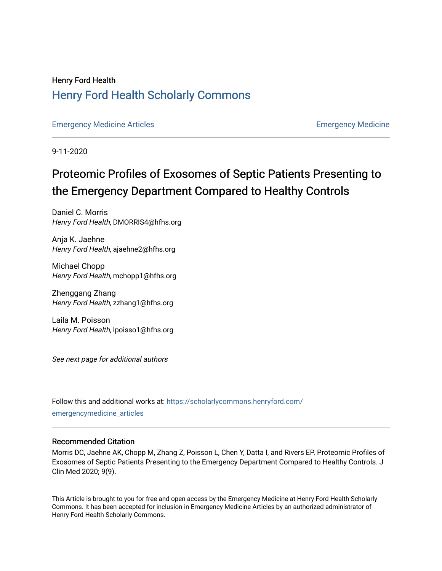# Henry Ford Health [Henry Ford Health Scholarly Commons](https://scholarlycommons.henryford.com/)

[Emergency Medicine Articles](https://scholarlycommons.henryford.com/emergencymedicine_articles) **Emergency Medicine** 

9-11-2020

# Proteomic Profiles of Exosomes of Septic Patients Presenting to the Emergency Department Compared to Healthy Controls

Daniel C. Morris Henry Ford Health, DMORRIS4@hfhs.org

Anja K. Jaehne Henry Ford Health, ajaehne2@hfhs.org

Michael Chopp Henry Ford Health, mchopp1@hfhs.org

Zhenggang Zhang Henry Ford Health, zzhang1@hfhs.org

Laila M. Poisson Henry Ford Health, lpoisso1@hfhs.org

See next page for additional authors

Follow this and additional works at: [https://scholarlycommons.henryford.com/](https://scholarlycommons.henryford.com/emergencymedicine_articles?utm_source=scholarlycommons.henryford.com%2Femergencymedicine_articles%2F206&utm_medium=PDF&utm_campaign=PDFCoverPages) [emergencymedicine\\_articles](https://scholarlycommons.henryford.com/emergencymedicine_articles?utm_source=scholarlycommons.henryford.com%2Femergencymedicine_articles%2F206&utm_medium=PDF&utm_campaign=PDFCoverPages) 

### Recommended Citation

Morris DC, Jaehne AK, Chopp M, Zhang Z, Poisson L, Chen Y, Datta I, and Rivers EP. Proteomic Profiles of Exosomes of Septic Patients Presenting to the Emergency Department Compared to Healthy Controls. J Clin Med 2020; 9(9).

This Article is brought to you for free and open access by the Emergency Medicine at Henry Ford Health Scholarly Commons. It has been accepted for inclusion in Emergency Medicine Articles by an authorized administrator of Henry Ford Health Scholarly Commons.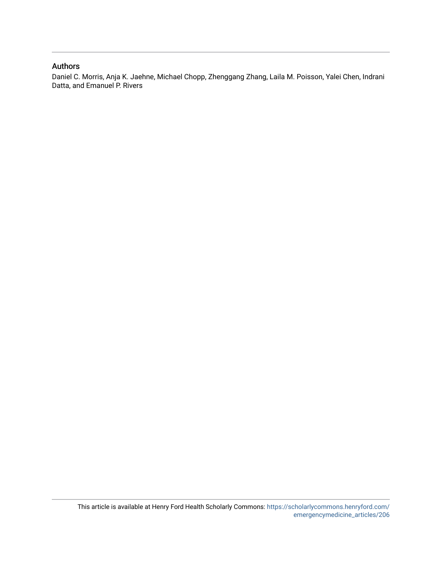### Authors

Daniel C. Morris, Anja K. Jaehne, Michael Chopp, Zhenggang Zhang, Laila M. Poisson, Yalei Chen, Indrani Datta, and Emanuel P. Rivers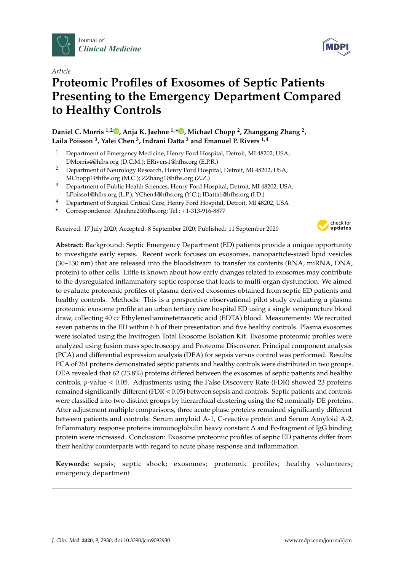

*Article*

# **Proteomic Profiles of Exosomes of Septic Patients Presenting to the Emergency Department Compared to Healthy Controls**

**Daniel C. Morris 1,2 [,](https://orcid.org/0000-0002-9113-0614) Anja K. Jaehne 1,\* [,](https://orcid.org/0000-0002-0744-2886) Michael Chopp <sup>2</sup> , Zhanggang Zhang <sup>2</sup> , Laila Poisson <sup>3</sup> , Yalei Chen <sup>3</sup> , Indrani Datta <sup>3</sup> and Emanuel P. Rivers 1,4**

- <sup>1</sup> Department of Emergency Medicine, Henry Ford Hospital, Detroit, MI 48202, USA; DMorris4@hfhs.org (D.C.M.); ERivers1@hfhs.org (E.P.R.)
- <sup>2</sup> Department of Neurology Research, Henry Ford Hospital, Detroit, MI 48202, USA; MChopp1@hfhs.org (M.C.); ZZhang1@hfhs.org (Z.Z.)
- <sup>3</sup> Department of Public Health Sciences, Henry Ford Hospital, Detroit, MI 48202, USA; LPoisso1@hfhs.org (L.P.); YChen4@hfhs.org (Y.C.); IDatta1@hfhs.org (I.D.)
- <sup>4</sup> Department of Surgical Critical Care, Henry Ford Hospital, Detroit, MI 48202, USA
- **\*** Correspondence: AJaehne2@hfhs.org; Tel.: +1-313-916-8877

Received: 17 July 2020; Accepted: 8 September 2020; Published: 11 September 2020



**Abstract:** Background: Septic Emergency Department (ED) patients provide a unique opportunity to investigate early sepsis. Recent work focuses on exosomes, nanoparticle-sized lipid vesicles (30–130 nm) that are released into the bloodstream to transfer its contents (RNA, miRNA, DNA, protein) to other cells. Little is known about how early changes related to exosomes may contribute to the dysregulated inflammatory septic response that leads to multi-organ dysfunction. We aimed to evaluate proteomic profiles of plasma derived exosomes obtained from septic ED patients and healthy controls. Methods: This is a prospective observational pilot study evaluating a plasma proteomic exosome profile at an urban tertiary care hospital ED using a single venipuncture blood draw, collecting 40 cc Ethylenediaminetetraacetic acid (EDTA) blood. Measurements: We recruited seven patients in the ED within 6 h of their presentation and five healthy controls. Plasma exosomes were isolated using the Invitrogen Total Exosome Isolation Kit. Exosome proteomic profiles were analyzed using fusion mass spectroscopy and Proteome Discoverer. Principal component analysis (PCA) and differential expression analysis (DEA) for sepsis versus control was performed. Results: PCA of 261 proteins demonstrated septic patients and healthy controls were distributed in two groups. DEA revealed that 62 (23.8%) proteins differed between the exosomes of septic patients and healthy controls, *p*-value < 0.05. Adjustments using the False Discovery Rate (FDR) showed 23 proteins remained significantly different (FDR < 0.05) between sepsis and controls. Septic patients and controls were classified into two distinct groups by hierarchical clustering using the 62 nominally DE proteins. After adjustment multiple comparisons, three acute phase proteins remained significantly different between patients and controls: Serum amyloid A-1, C-reactive protein and Serum Amyloid A-2. Inflammatory response proteins immunoglobulin heavy constant ∆ and Fc-fragment of IgG binding protein were increased. Conclusion: Exosome proteomic profiles of septic ED patients differ from their healthy counterparts with regard to acute phase response and inflammation.

**Keywords:** sepsis; septic shock; exosomes; proteomic profiles; healthy volunteers; emergency department

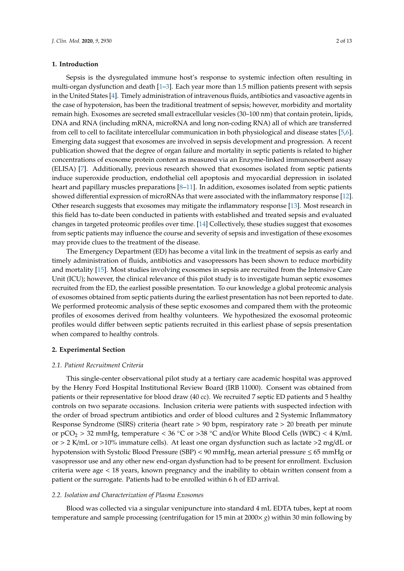#### **1. Introduction**

Sepsis is the dysregulated immune host's response to systemic infection often resulting in multi-organ dysfunction and death [\[1–](#page-12-0)[3\]](#page-12-1). Each year more than 1.5 million patients present with sepsis in the United States [\[4\]](#page-12-2). Timely administration of intravenous fluids, antibiotics and vasoactive agents in the case of hypotension, has been the traditional treatment of sepsis; however, morbidity and mortality remain high. Exosomes are secreted small extracellular vesicles (30–100 nm) that contain protein, lipids, DNA and RNA (including mRNA, microRNA and long non-coding RNA) all of which are transferred from cell to cell to facilitate intercellular communication in both physiological and disease states [\[5,](#page-12-3)[6\]](#page-12-4). Emerging data suggest that exosomes are involved in sepsis development and progression. A recent publication showed that the degree of organ failure and mortality in septic patients is related to higher concentrations of exosome protein content as measured via an Enzyme-linked immunosorbent assay (ELISA) [\[7\]](#page-12-5). Additionally, previous research showed that exosomes isolated from septic patients induce superoxide production, endothelial cell apoptosis and myocardial depression in isolated heart and papillary muscles preparations [\[8–](#page-12-6)[11\]](#page-12-7). In addition, exosomes isolated from septic patients showed differential expression of microRNAs that were associated with the inflammatory response [\[12\]](#page-12-8). Other research suggests that exosomes may mitigate the inflammatory response [\[13\]](#page-12-9). Most research in this field has to-date been conducted in patients with established and treated sepsis and evaluated changes in targeted proteomic profiles over time. [\[14\]](#page-12-10) Collectively, these studies suggest that exosomes from septic patients may influence the course and severity of sepsis and investigation of these exosomes may provide clues to the treatment of the disease.

The Emergency Department (ED) has become a vital link in the treatment of sepsis as early and timely administration of fluids, antibiotics and vasopressors has been shown to reduce morbidity and mortality [\[15\]](#page-12-11). Most studies involving exosomes in sepsis are recruited from the Intensive Care Unit (ICU); however, the clinical relevance of this pilot study is to investigate human septic exosomes recruited from the ED, the earliest possible presentation. To our knowledge a global proteomic analysis of exosomes obtained from septic patients during the earliest presentation has not been reported to date. We performed proteomic analysis of these septic exosomes and compared them with the proteomic profiles of exosomes derived from healthy volunteers. We hypothesized the exosomal proteomic profiles would differ between septic patients recruited in this earliest phase of sepsis presentation when compared to healthy controls.

#### **2. Experimental Section**

#### *2.1. Patient Recruitment Criteria*

This single-center observational pilot study at a tertiary care academic hospital was approved by the Henry Ford Hospital Institutional Review Board (IRB 11000). Consent was obtained from patients or their representative for blood draw (40 cc). We recruited 7 septic ED patients and 5 healthy controls on two separate occasions. Inclusion criteria were patients with suspected infection with the order of broad spectrum antibiotics and order of blood cultures and 2 Systemic Inflammatory Response Syndrome (SIRS) criteria (heart rate > 90 bpm, respiratory rate > 20 breath per minute or  $pCO_2 > 32$  mmHg, temperature < 36 °C or >38 °C and/or White Blood Cells (WBC) < 4 K/mL or  $>$  2 K/mL or  $>$ 10% immature cells). At least one organ dysfunction such as lactate  $>$ 2 mg/dL or hypotension with Systolic Blood Pressure (SBP) < 90 mmHg, mean arterial pressure ≤ 65 mmHg or vasopressor use and any other new end-organ dysfunction had to be present for enrollment. Exclusion criteria were age < 18 years, known pregnancy and the inability to obtain written consent from a patient or the surrogate. Patients had to be enrolled within 6 h of ED arrival.

#### *2.2. Isolation and Characterization of Plasma Exosomes*

Blood was collected via a singular venipuncture into standard 4 mL EDTA tubes, kept at room temperature and sample processing (centrifugation for 15 min at 2000× *g*) within 30 min following by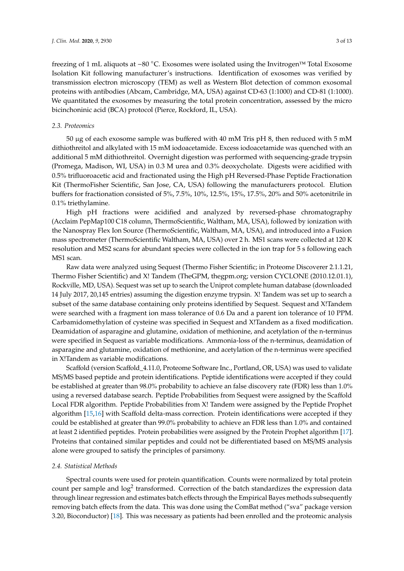freezing of 1 mL aliquots at −80 ◦C. Exosomes were isolated using the Invitrogen™ Total Exosome Isolation Kit following manufacturer's instructions. Identification of exosomes was verified by transmission electron microscopy (TEM) as well as Western Blot detection of common exosomal proteins with antibodies (Abcam, Cambridge, MA, USA) against CD-63 (1:1000) and CD-81 (1:1000). We quantitated the exosomes by measuring the total protein concentration, assessed by the micro bicinchoninic acid (BCA) protocol (Pierce, Rockford, IL, USA).

#### *2.3. Proteomics*

50 µg of each exosome sample was buffered with 40 mM Tris pH 8, then reduced with 5 mM dithiothreitol and alkylated with 15 mM iodoacetamide. Excess iodoacetamide was quenched with an additional 5 mM dithiothreitol. Overnight digestion was performed with sequencing-grade trypsin (Promega, Madison, WI, USA) in 0.3 M urea and 0.3% deoxycholate. Digests were acidified with 0.5% trifluoroacetic acid and fractionated using the High pH Reversed-Phase Peptide Fractionation Kit (ThermoFisher Scientific, San Jose, CA, USA) following the manufacturers protocol. Elution buffers for fractionation consisted of 5%, 7.5%, 10%, 12.5%, 15%, 17.5%, 20% and 50% acetonitrile in 0.1% triethylamine.

High pH fractions were acidified and analyzed by reversed-phase chromatography (Acclaim PepMap100 C18 column, ThermoScientific, Waltham, MA, USA), followed by ionization with the Nanospray Flex Ion Source (ThermoScientific, Waltham, MA, USA), and introduced into a Fusion mass spectrometer (ThermoScientific Waltham, MA, USA) over 2 h. MS1 scans were collected at 120 K resolution and MS2 scans for abundant species were collected in the ion trap for 5 s following each MS1 scan.

Raw data were analyzed using Sequest (Thermo Fisher Scientific; in Proteome Discoverer 2.1.1.21, Thermo Fisher Scientific) and X! Tandem (TheGPM, thegpm.org; version CYCLONE (2010.12.01.1), Rockville, MD, USA). Sequest was set up to search the Uniprot complete human database (downloaded 14 July 2017, 20,145 entries) assuming the digestion enzyme trypsin. X! Tandem was set up to search a subset of the same database containing only proteins identified by Sequest. Sequest and X!Tandem were searched with a fragment ion mass tolerance of 0.6 Da and a parent ion tolerance of 10 PPM. Carbamidomethylation of cysteine was specified in Sequest and X!Tandem as a fixed modification. Deamidation of asparagine and glutamine, oxidation of methionine, and acetylation of the n-terminus were specified in Sequest as variable modifications. Ammonia-loss of the n-terminus, deamidation of asparagine and glutamine, oxidation of methionine, and acetylation of the n-terminus were specified in X!Tandem as variable modifications.

Scaffold (version Scaffold\_4.11.0, Proteome Software Inc., Portland, OR, USA) was used to validate MS/MS based peptide and protein identifications. Peptide identifications were accepted if they could be established at greater than 98.0% probability to achieve an false discovery rate (FDR) less than 1.0% using a reversed database search. Peptide Probabilities from Sequest were assigned by the Scaffold Local FDR algorithm. Peptide Probabilities from X! Tandem were assigned by the Peptide Prophet algorithm [\[15,](#page-12-11)[16\]](#page-12-12) with Scaffold delta-mass correction. Protein identifications were accepted if they could be established at greater than 99.0% probability to achieve an FDR less than 1.0% and contained at least 2 identified peptides. Protein probabilities were assigned by the Protein Prophet algorithm [\[17\]](#page-12-13). Proteins that contained similar peptides and could not be differentiated based on MS/MS analysis alone were grouped to satisfy the principles of parsimony.

#### *2.4. Statistical Methods*

Spectral counts were used for protein quantification. Counts were normalized by total protein count per sample and  $log<sup>2</sup>$  transformed. Correction of the batch standardizes the expression data through linear regression and estimates batch effects through the Empirical Bayes methods subsequently removing batch effects from the data. This was done using the ComBat method ("sva" package version 3.20, Bioconductor) [\[18\]](#page-12-14). This was necessary as patients had been enrolled and the proteomic analysis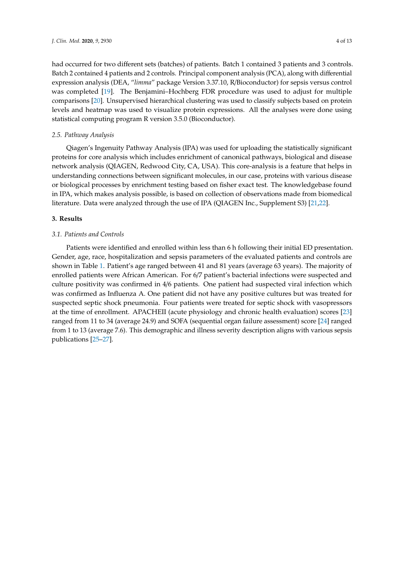had occurred for two different sets (batches) of patients. Batch 1 contained 3 patients and 3 controls. Batch 2 contained 4 patients and 2 controls. Principal component analysis (PCA), along with differential expression analysis (DEA, "*limma*" package Version 3.37.10, R/Bioconductor) for sepsis versus control was completed [\[19\]](#page-13-0). The Benjamini–Hochberg FDR procedure was used to adjust for multiple comparisons [\[20\]](#page-13-1). Unsupervised hierarchical clustering was used to classify subjects based on protein levels and heatmap was used to visualize protein expressions. All the analyses were done using statistical computing program R version 3.5.0 (Bioconductor).

#### *2.5. Pathway Analysis*

Qiagen's Ingenuity Pathway Analysis (IPA) was used for uploading the statistically significant proteins for core analysis which includes enrichment of canonical pathways, biological and disease network analysis (QIAGEN, Redwood City, CA, USA). This core-analysis is a feature that helps in understanding connections between significant molecules, in our case, proteins with various disease or biological processes by enrichment testing based on fisher exact test. The knowledgebase found in IPA, which makes analysis possible, is based on collection of observations made from biomedical literature. Data were analyzed through the use of IPA (QIAGEN Inc., Supplement S3) [\[21](#page-13-2)[,22\]](#page-13-3).

#### **3. Results**

#### *3.1. Patients and Controls*

Patients were identified and enrolled within less than 6 h following their initial ED presentation. Gender, age, race, hospitalization and sepsis parameters of the evaluated patients and controls are shown in Table [1.](#page-6-0) Patient's age ranged between 41 and 81 years (average 63 years). The majority of enrolled patients were African American. For 6/7 patient's bacterial infections were suspected and culture positivity was confirmed in 4/6 patients. One patient had suspected viral infection which was confirmed as Influenza A. One patient did not have any positive cultures but was treated for suspected septic shock pneumonia. Four patients were treated for septic shock with vasopressors at the time of enrollment. APACHEII (acute physiology and chronic health evaluation) scores [\[23\]](#page-13-4) ranged from 11 to 34 (average 24.9) and SOFA (sequential organ failure assessment) score [\[24\]](#page-13-5) ranged from 1 to 13 (average 7.6). This demographic and illness severity description aligns with various sepsis publications [\[25](#page-13-6)[–27\]](#page-13-7).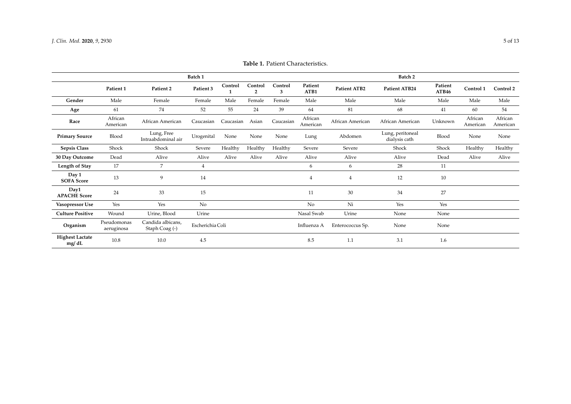<span id="page-6-0"></span>

|                                 | Batch 1                   |                                     |                  |               |                           |              |                     | Batch 2             |                                   |                  |                     |                     |
|---------------------------------|---------------------------|-------------------------------------|------------------|---------------|---------------------------|--------------|---------------------|---------------------|-----------------------------------|------------------|---------------------|---------------------|
|                                 | Patient 1                 | Patient 2                           | Patient 3        | Control<br>-1 | Control<br>$\overline{2}$ | Control<br>3 | Patient<br>ATB1     | <b>Patient ATB2</b> | Patient ATB24                     | Patient<br>ATB46 | Control 1           | Control 2           |
| Gender                          | Male                      | Female                              | Female           | Male          | Female                    | Female       | Male                | Male                | Male                              | Male             | Male                | Male                |
| Age                             | 61                        | 74                                  | 52               | 55            | 24                        | 39           | 64                  | 81                  | 68                                | 41               | 60                  | 54                  |
| Race                            | African<br>American       | African American                    | Caucasian        | Caucasian     | Asian                     | Caucasian    | African<br>American | African American    | African American                  | Unknown          | African<br>American | African<br>American |
| <b>Primary Source</b>           | Blood                     | Lung, Free<br>Intraabdominal air    | Urogenital       | None          | None                      | None         | Lung                | Abdomen             | Lung, peritoneal<br>dialysis cath | Blood            | None                | None                |
| <b>Sepsis Class</b>             | Shock                     | Shock                               | Severe           | Healthy       | Healthy                   | Healthy      | Severe              | Severe              | Shock                             | Shock            | Healthy             | Healthy             |
| 30 Day Outcome                  | Dead                      | Alive                               | Alive            | Alive         | Alive                     | Alive        | Alive               | Alive               | Alive                             | Dead             | Alive               | Alive               |
| Length of Stay                  | 17                        | $\overline{7}$                      | $\overline{4}$   |               |                           |              | 6                   | 6                   | 28                                | 11               |                     |                     |
| Day 1<br><b>SOFA Score</b>      | 13                        | 9                                   | 14               |               |                           |              | $\overline{4}$      | 4                   | 12                                | $10\,$           |                     |                     |
| Day1<br><b>APACHE Score</b>     | 24                        | 33                                  | 15               |               |                           |              | 11                  | 30                  | 34                                | 27               |                     |                     |
| Vasopressor Use                 | Yes                       | Yes                                 | No               |               |                           |              | No                  | Ni                  | Yes                               | Yes              |                     |                     |
| <b>Culture Positive</b>         | Wound                     | Urine, Blood                        | Urine            |               |                           |              | Nasal Swab          | Urine               | None                              | None             |                     |                     |
| Organism                        | Pseudomonas<br>aeruginosa | Candida albicans,<br>Staph Coag (-) | Escherichia Coli |               |                           |              | Influenza A         | Enterococcus Sp.    | None                              | None             |                     |                     |
| <b>Highest Lactate</b><br>mg/dL | 10.8                      | 10.0                                | 4.5              |               |                           |              | 8.5                 | 1.1                 | 3.1                               | 1.6              |                     |                     |

**Table 1.** Patient Characteristics.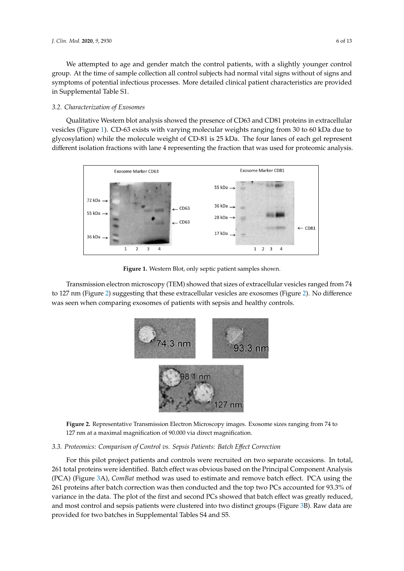We attempted to age and gender match the control patients, with a slightly younger control group. At the time of sample collection all control subjects had normal vital signs without of signs and symptoms of potential infectious processes. More detailed clinical patient characteristics are provided in Supplemental Table S1. *Symptoms of potential intectious processes. More detailed chilical patient characteristics are provided* 

#### *3.2. Characterization of Exosomes 3.2. Characterization of Exosomes 3.2. Characterization of Exosomes*

Qualitative Western blot analysis showed the presence of CD63 and CD81 proteins in extracellular Qualitative Western blot analysis showed the presence of CD63 and CD81 proteins in vesicles (Figure [1\)](#page-7-0). CD-63 exists with varying molecular weights ranging from 30 to 60 kDa due to excessive (rights 2). So we called that the judgement weights ranging from so to which the to glycosylation) while the molecule weight of CD-81 is 25 kDa. The four lanes of each gel represent different isolation fractions with lane 4 representing the fraction that was used for proteomic analysis. different isolation fractions with lane 4 representing the fraction that was used for proteomic analysis. Qualitative Western blot analysis showed the presence of CD63 and CD81 proteins in vesicies (Figure 1). CD-63 exists with varying molecular weights ranging from 30 to 60 KDa due to glycosylation) while the molecule weight of  $CD-81$  is 25 kDa. The four lanes of each gel represent

<span id="page-7-0"></span>

**Figure 1.** Western Blot, only septic patient samples shown. **Figure 1.** Western Blot, only septic patient samples shown. **Figure 1.** Western Blot, only septic patient samples shown.

<span id="page-7-1"></span>Transmission electron microscopy (TEM) showed that sizes of extracellular vesicles ranged from 74 to 127 nm (Figure [2\)](#page-7-1) suggesting that these extracellular vesicles are exosomes (Figure 2). No difference was seen when comparing exosomes of patients with sepsis and healthy controls.



Figure 2. Representative Transmission Electron Microscopy images. Exosome sizes ranging from 74 to to 127 nm at a maximal magnification of 90.000 via direct magnification. 127 nm at a maximal magnification of 90.000 via direct magnification.

#### *3.3. Proteomics: Comparison of Control vs. Sepsis Patients: Batch Effect Correction 3.3. Proteomics: Comparison of Control vs. Sepsis Patients: Batch Effect Correction 3.3. Proteomics: Comparison of Control vs. Sepsis Patients: Batch E*ff*ect Correction*

For this pilot project patients and controls were recruited on two separate occasions. In total, 261 total proteins were identified. Batch effect was obvious based on the Principal Component Analysis (PCA) (Figure 3A), *ComBat* method was used to estimate and remove batch effect. PCA using the 261  $p_{\rm c1}$  proteins after batch correction was then conducted and the top two PCs accounted for 93.3% of  $p_{\rm c2}$ variance in the data. The plot of the first and second PCs showed that batch effect was greatly reduced, and most control and sepsis patients were clustered into two distinct groups (Figure 3B).  $R$  are provided for two batches in Supplemental Tables  $S4$  and  $S5$ . For this pilot project patients and controls were recruited on two separate occasions. In total, total proteins were identified. Batch effect was obvious based on the Principal Component Analysis 261 total proteins were identified. Batch effect was obvious based on the Principal Component Analysis (PCA) (Figure [3A](#page-8-0)), *ComBat* method was used to estimate and remove batch effect. PCA using the proteins after batch correction was then conducted and the top two PCs accounted for 93.3% of 261 proteins after batch correction was then conducted and the top two PCs accounted for 93.3% of variance in the data. The plot of the first and second PCs showed that batch effect was greatly variance in the data. The plot of the first and second PCs showed that batch effect was greatly reduced, and most control and sepsis patients were clustered into two distinct groups (Figure [3B](#page-8-0)). Raw data are provided for two batches in Supplemental Tables S4 and S5.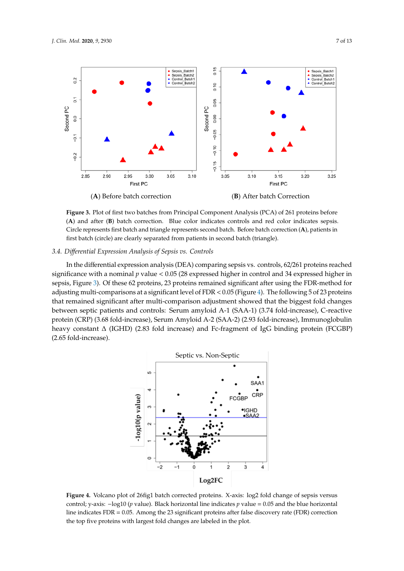<span id="page-8-0"></span>

Figure 3. Plot of first two batches from Principal Component Analysis (PCA) of 261 proteins before (A) and after (B) batch correction. Blue color indicates controls and red color indicates sepsis. Circle represents first batch and triangle represents second batch. Before batch correction (A), patients in first batch (circle) are clearly separated from patients in second batch (triangle).

## *3.4. Differential Expression Analysis of Sepsis vs. Controls 3.4. Di*ff*erential Expression Analysis of Sepsis vs. Controls 3.4. Differential Expression Analysis of Sepsis vs. Controls*

In the differential expression analysis (DEA) comparing sepsis vs. controls, 62/261 proteins reached significance with a nominal  $p$  value  $< 0.05$  (28 expressed higher in control and 34 expressed higher in sepsi[s,](#page-8-0) Figure 3). Of these 62 proteins, 23 proteins remained significant after using the FDR-method for adjusting multi-comparisons at a significant level of FDR  $<$  0.05 (Figure 4). The following 5 of 23 proteins that remained significant after multi-comparison adjustment showed that the biggest fold changes between septic patients and controls: Serum amyloid A-1 (SAA-1) (3.74 fold-increase), C-reactive protein (CRP) (3.68 fold-increase), Serum Amyloid A-2 (SAA-2) (2.93 fold-increase), Immunoglobulin heavy constant  $\Delta$  (IGHD) (2.83 fold increase) and Fc-fragment of IgG binding protein (FCGBP)  $(2.65 \text{ fold-increase}).$ 

<span id="page-8-1"></span>

Figure 4. Volcano plot of 26 fig1 batch corrected proteins. X-axis: log2 fold change of sepsis versus control; y-axis:  $-\log 10$  (p value). Black horizontal line indicates p value = 0.05 and the blue horizontal line indicates  $FDR = 0.05$ . Among the 23 significant proteins after false discovery rate ( $FDR$ ) correction the top five proteins with largest fold changes are labeled in the plot. the top five proteins with largest fold changes are labeled in the plot. the top five proteins with largest fold changes are labeled in the plot.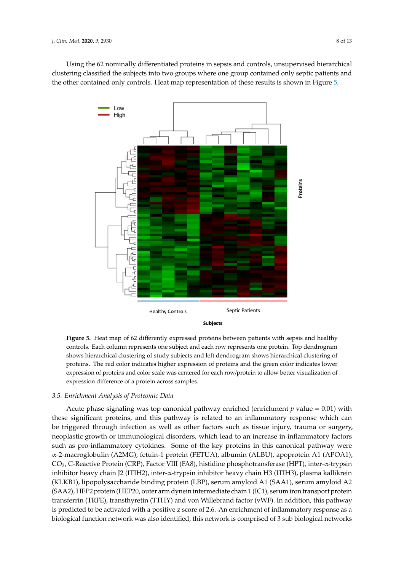<span id="page-9-0"></span>Using the 62 nominally differentiated proteins in sepsis and controls, unsupervised hierarchical Using the 62 nominally differentiated proteins in sepsis and controls, unsupervised hierarchical clustering classified the subjects into two groups where one group contained only septic patients and clustering classified the subjects into two groups where one group contained only septic patients and the other contained only controls. Heat map representation of these results is shown in Figure [5.](#page-9-0) the other contained only controls. Heat map representation of these results is shown in Figure 5.



**Figure 5.** Heat map of 62 differently expressed proteins between patients with sepsis and healthy **Figure 5.** Heat map of 62 differently expressed proteins between patients with sepsis and healthy controls. Each column represents one subject and each row represents one protein. Top dendrogram controls. Each column represents one subject and each row represents one protein. Top dendrogram shows hierarchical clustering of study subjects and left dendrogram shows hierarchical clustering of shows hierarchical clustering of study subjects and left dendrogram shows hierarchical clustering of proteins. The red color indicates higher expression of proteins and the green color indicates lower proteins. The red color indicates higher expression of proteins and the green color indicates lower expression of proteins and color scale was centered for each row/protein to allow better visualization expression of proteins and color scale was centered for each row/protein to allow better visualization of expression difference of a protein across samples.

# *3.5. Enrichment Analysis of Proteomic Data 3.5. Enrichment Analysis of Proteomic Data*

these significant proteins, and this pathway is related to an inflammatory response which can these significant proteins, and this pathway is related to an inflammatory response which can be triggered through infection as well as other factors such as tissue injury, trauma or surgery, triggered through infection as well as other factors such as tissue injury, trauma or surgery, neoplastic neoplastic growth or immunological disorders, which lead to an increase in inflammatory factors such as pro-inflammatory cytokines. Some of the key proteins in this canonical pathway were inflammatory cytokines. Some of the key proteins in this canonical pathway were α-2-macroglobulin α-2-macroglobulin (A2MG), fetuin-1 protein (FETUA), albumin (ALBU), apoprotein A1 (APOA1), (A2MG), fetuin-1 protein (FETUA), albumin (ALBU), apoprotein A1 (APOA1), CO2, C-Reactive CO2, C-Reactive Protein (CRP), Factor VIII (FA8), histidine phosphotransferase (HPT), inter-α-trypsin Protein (CRP), Factor VIII (FA8), histidine phosphotransferase (HPT), inter-α-trypsin inhibitor heavy inhibitor heavy chain J2 (ITIH2), inter-α-trypsin inhibitor heavy chain H3 (ITIH3), plasma kallikrein chain J2 (ITIH2), inter-α-trypsin inhibitor heavy chain H3 (ITIH3), plasma kallikrein (KLKB1), (KLKB1), lipopolysaccharide binding protein (LBP), serum amyloid A1 (SAA1), serum amyloid A2 lipopolysaccharide binding protein (LBP), serum amyloid A1 (SAA1), serum amyloid A2 (SAA2), (SAA2), HEP2 protein (HEP20, outer arm dynein intermediate chain 1 (IC1), serum iron transport protein HEP2 protein (HEP20, outer arm dynein intermediate chain 1 (IC1), serum iron transport protein transferrin (TRFE), transthyretin (TTHY) and von Willebrand factor (vWF). In addition, this pathway is predicted to be activated with a positive z score of 2.6. An enrichment of inflammatory response as a is predicted to be active active  $\alpha$  predicted with a positive z score of  $\alpha$ . An enrichment of  $\alpha$  inflamentary response as  $\alpha$ a biological function network was also identified, this network is comprised of 3 sub biological biological function network was also identified, this network is comprised of 3 sub biological networksAcute phase signaling was top canonical pathway enriched (enrichment  $p$  value = 0.01) with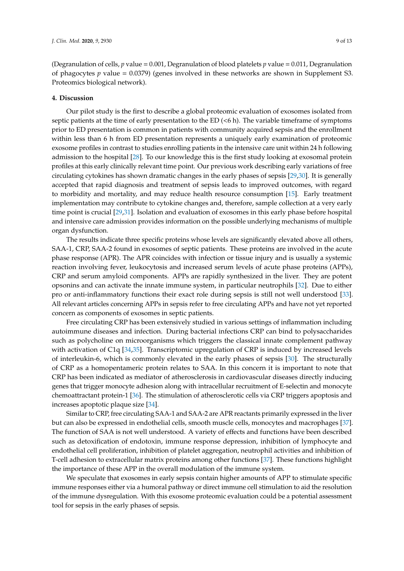(Degranulation of cells, *p* value = 0.001, Degranulation of blood platelets *p* value = 0.011, Degranulation of phagocytes *p* value = 0.0379) (genes involved in these networks are shown in Supplement S3. Proteomics biological network).

#### **4. Discussion**

Our pilot study is the first to describe a global proteomic evaluation of exosomes isolated from septic patients at the time of early presentation to the ED  $( $6$  h). The variable timeframe of symptoms$ prior to ED presentation is common in patients with community acquired sepsis and the enrollment within less than 6 h from ED presentation represents a uniquely early examination of proteomic exosome profiles in contrast to studies enrolling patients in the intensive care unit within 24 h following admission to the hospital [\[28\]](#page-13-8). To our knowledge this is the first study looking at exosomal protein profiles at this early clinically relevant time point. Our previous work describing early variations of free circulating cytokines has shown dramatic changes in the early phases of sepsis [\[29,](#page-13-9)[30\]](#page-13-10). It is generally accepted that rapid diagnosis and treatment of sepsis leads to improved outcomes, with regard to morbidity and mortality, and may reduce health resource consumption [\[15\]](#page-12-11). Early treatment implementation may contribute to cytokine changes and, therefore, sample collection at a very early time point is crucial [\[29,](#page-13-9)[31\]](#page-13-11). Isolation and evaluation of exosomes in this early phase before hospital and intensive care admission provides information on the possible underlying mechanisms of multiple organ dysfunction.

The results indicate three specific proteins whose levels are significantly elevated above all others, SAA-1, CRP, SAA-2 found in exosomes of septic patients. These proteins are involved in the acute phase response (APR). The APR coincides with infection or tissue injury and is usually a systemic reaction involving fever, leukocytosis and increased serum levels of acute phase proteins (APPs), CRP and serum amyloid components. APPs are rapidly synthesized in the liver. They are potent opsonins and can activate the innate immune system, in particular neutrophils [\[32\]](#page-13-12). Due to either pro or anti-inflammatory functions their exact role during sepsis is still not well understood [\[33\]](#page-13-13). All relevant articles concerning APPs in sepsis refer to free circulating APPs and have not yet reported concern as components of exosomes in septic patients.

Free circulating CRP has been extensively studied in various settings of inflammation including autoimmune diseases and infection. During bacterial infections CRP can bind to polysaccharides such as polycholine on microorganisms which triggers the classical innate complement pathway with activation of C1q [\[34,](#page-13-14)[35\]](#page-13-15). Transcriptomic upregulation of CRP is induced by increased levels of interleukin-6, which is commonly elevated in the early phases of sepsis [\[30\]](#page-13-10). The structurally of CRP as a homopentameric protein relates to SAA. In this concern it is important to note that CRP has been indicated as mediator of atherosclerosis in cardiovascular diseases directly inducing genes that trigger monocyte adhesion along with intracellular recruitment of E-selectin and monocyte chemoattractant protein-1 [\[36\]](#page-13-16). The stimulation of atherosclerotic cells via CRP triggers apoptosis and increases apoptotic plaque size [\[34\]](#page-13-14).

Similar to CRP, free circulating SAA-1 and SAA-2 are APR reactants primarily expressed in the liver but can also be expressed in endothelial cells, smooth muscle cells, monocytes and macrophages [\[37\]](#page-13-17). The function of SAA is not well understood. A variety of effects and functions have been described such as detoxification of endotoxin, immune response depression, inhibition of lymphocyte and endothelial cell proliferation, inhibition of platelet aggregation, neutrophil activities and inhibition of T-cell adhesion to extracellular matrix proteins among other functions [\[37\]](#page-13-17). These functions highlight the importance of these APP in the overall modulation of the immune system.

We speculate that exosomes in early sepsis contain higher amounts of APP to stimulate specific immune responses either via a humoral pathway or direct immune cell stimulation to aid the resolution of the immune dysregulation. With this exosome proteomic evaluation could be a potential assessment tool for sepsis in the early phases of sepsis.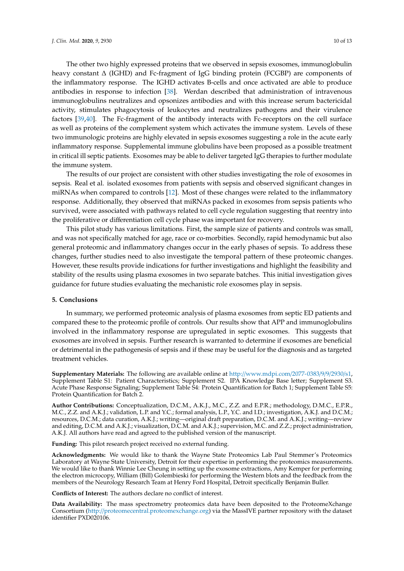The other two highly expressed proteins that we observed in sepsis exosomes, immunoglobulin heavy constant ∆ (IGHD) and Fc-fragment of IgG binding protein (FCGBP) are components of the inflammatory response. The IGHD activates B-cells and once activated are able to produce antibodies in response to infection [\[38\]](#page-13-18). Werdan described that administration of intravenous immunoglobulins neutralizes and opsonizes antibodies and with this increase serum bactericidal activity, stimulates phagocytosis of leukocytes and neutralizes pathogens and their virulence factors [\[39,](#page-14-0)[40\]](#page-14-1). The Fc-fragment of the antibody interacts with Fc-receptors on the cell surface as well as proteins of the complement system which activates the immune system. Levels of these two immunologic proteins are highly elevated in sepsis exosomes suggesting a role in the acute early inflammatory response. Supplemental immune globulins have been proposed as a possible treatment in critical ill septic patients. Exosomes may be able to deliver targeted IgG therapies to further modulate the immune system.

The results of our project are consistent with other studies investigating the role of exosomes in sepsis. Real et al. isolated exosomes from patients with sepsis and observed significant changes in miRNAs when compared to controls [\[12\]](#page-12-8). Most of these changes were related to the inflammatory response. Additionally, they observed that miRNAs packed in exosomes from sepsis patients who survived, were associated with pathways related to cell cycle regulation suggesting that reentry into the proliferative or differentiation cell cycle phase was important for recovery.

This pilot study has various limitations. First, the sample size of patients and controls was small, and was not specifically matched for age, race or co-morbities. Secondly, rapid hemodynamic but also general proteomic and inflammatory changes occur in the early phases of sepsis. To address these changes, further studies need to also investigate the temporal pattern of these proteomic changes. However, these results provide indications for further investigations and highlight the feasibility and stability of the results using plasma exosomes in two separate batches. This initial investigation gives guidance for future studies evaluating the mechanistic role exosomes play in sepsis.

#### **5. Conclusions**

In summary, we performed proteomic analysis of plasma exosomes from septic ED patients and compared these to the proteomic profile of controls. Our results show that APP and immunoglobulins involved in the inflammatory response are upregulated in septic exosomes. This suggests that exosomes are involved in sepsis. Further research is warranted to determine if exosomes are beneficial or detrimental in the pathogenesis of sepsis and if these may be useful for the diagnosis and as targeted treatment vehicles.

**Supplementary Materials:** The following are available online at http://[www.mdpi.com](http://www.mdpi.com/2077-0383/9/9/2930/s1)/2077-0383/9/9/2930/s1, Supplement Table S1: Patient Characteristics; Supplement S2. IPA Knowledge Base letter; Supplement S3. Acute Phase Response Signaling; Supplement Table S4: Protein Quantification for Batch 1; Supplement Table S5: Protein Quantification for Batch 2.

**Author Contributions:** Conceptualization, D.C.M., A.K.J., M.C., Z.Z. and E.P.R.; methodology, D.M.C., E.P.R., M.C., Z.Z. and A.K.J.; validation, L.P. and Y.C.; formal analysis, L.P., Y.C. and I.D.; investigation, A.K.J. and D.C.M.; resources, D.C.M.; data curation, A.K.J.; writing—original draft preparation, D.C.M. and A.K.J.; writing—review and editing, D.C.M. and A.K.J.; visualization, D.C.M. and A.K.J.; supervision, M.C. and Z.Z.; project administration, A.K.J. All authors have read and agreed to the published version of the manuscript.

**Funding:** This pilot research project received no external funding.

**Acknowledgments:** We would like to thank the Wayne State Proteomics Lab Paul Stemmer's Proteomics Laboratory at Wayne State University, Detroit for their expertise in performing the proteomics measurements. We would like to thank Winnie Lee Cheung in setting up the exosome extractions, Amy Kemper for performing the electron microcopy, William (Bill) Golembieski for performing the Western blots and the feedback from the members of the Neurology Research Team at Henry Ford Hospital, Detroit specifically Benjamin Buller.

**Conflicts of Interest:** The authors declare no conflict of interest.

**Data Availability:** The mass spectrometry proteomics data have been deposited to the ProteomeXchange Consortium (http://[proteomecentral.proteomexchange.org\)](http://proteomecentral.proteomexchange.org) via the MassIVE partner repository with the dataset identifier PXD020106.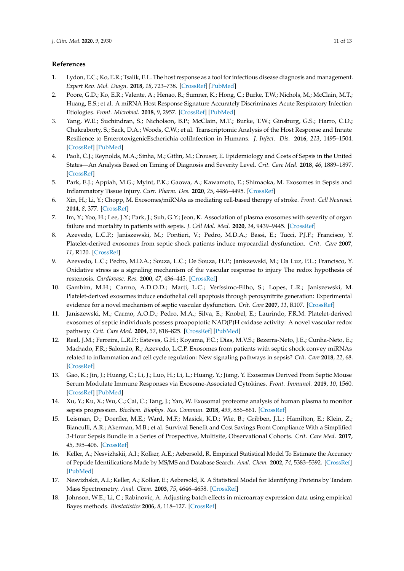#### **References**

- <span id="page-12-0"></span>1. Lydon, E.C.; Ko, E.R.; Tsalik, E.L. The host response as a tool for infectious disease diagnosis and management. *Expert Rev. Mol. Diagn.* **2018**, *18*, 723–738. [\[CrossRef\]](http://dx.doi.org/10.1080/14737159.2018.1493378) [\[PubMed\]](http://www.ncbi.nlm.nih.gov/pubmed/29939801)
- 2. Poore, G.D.; Ko, E.R.; Valente, A.; Henao, R.; Sumner, K.; Hong, C.; Burke, T.W.; Nichols, M.; McClain, M.T.; Huang, E.S.; et al. A miRNA Host Response Signature Accurately Discriminates Acute Respiratory Infection Etiologies. *Front. Microbiol.* **2018**, *9*, 2957. [\[CrossRef\]](http://dx.doi.org/10.3389/fmicb.2018.02957) [\[PubMed\]](http://www.ncbi.nlm.nih.gov/pubmed/30619110)
- <span id="page-12-1"></span>3. Yang, W.E.; Suchindran, S.; Nicholson, B.P.; McClain, M.T.; Burke, T.W.; Ginsburg, G.S.; Harro, C.D.; Chakraborty, S.; Sack, D.A.; Woods, C.W.; et al. Transcriptomic Analysis of the Host Response and Innate Resilience to EnterotoxigenicEscherichia coliInfection in Humans. *J. Infect. Dis.* **2016**, *213*, 1495–1504. [\[CrossRef\]](http://dx.doi.org/10.1093/infdis/jiv593) [\[PubMed\]](http://www.ncbi.nlm.nih.gov/pubmed/26787651)
- <span id="page-12-2"></span>4. Paoli, C.J.; Reynolds, M.A.; Sinha, M.; Gitlin, M.; Crouser, E. Epidemiology and Costs of Sepsis in the United States—An Analysis Based on Timing of Diagnosis and Severity Level. *Crit. Care Med.* **2018**, *46*, 1889–1897. [\[CrossRef\]](http://dx.doi.org/10.1097/CCM.0000000000003342)
- <span id="page-12-3"></span>5. Park, E.J.; Appiah, M.G.; Myint, P.K.; Gaowa, A.; Kawamoto, E.; Shimaoka, M. Exosomes in Sepsis and Inflammatory Tissue Injury. *Curr. Pharm. Des.* **2020**, *25*, 4486–4495. [\[CrossRef\]](http://dx.doi.org/10.2174/1381612825666191116125525)
- <span id="page-12-4"></span>6. Xin, H.; Li, Y.; Chopp, M. Exosomes/miRNAs as mediating cell-based therapy of stroke. *Front. Cell Neurosci.* **2014**, *8*, 377. [\[CrossRef\]](http://dx.doi.org/10.3389/fncel.2014.00377)
- <span id="page-12-5"></span>7. Im, Y.; Yoo, H.; Lee, J.Y.; Park, J.; Suh, G.Y.; Jeon, K. Association of plasma exosomes with severity of organ failure and mortality in patients with sepsis. *J. Cell Mol. Med.* **2020**, *24*, 9439–9445. [\[CrossRef\]](http://dx.doi.org/10.1111/jcmm.15606)
- <span id="page-12-6"></span>8. Azevedo, L.C.P.; Janiszewski, M.; Pontieri, V.; Pedro, M.D.A.; Bassi, E.; Tucci, P.J.F.; Francisco, Y. Platelet-derived exosomes from septic shock patients induce myocardial dysfunction. *Crit. Care* **2007**, *11*, R120. [\[CrossRef\]](http://dx.doi.org/10.1186/cc6176)
- 9. Azevedo, L.C.; Pedro, M.D.A.; Souza, L.C.; De Souza, H.P.; Janiszewski, M.; Da Luz, P.L.; Francisco, Y. Oxidative stress as a signaling mechanism of the vascular response to injury The redox hypothesis of restenosis. *Cardiovasc. Res.* **2000**, *47*, 436–445. [\[CrossRef\]](http://dx.doi.org/10.1016/S0008-6363(00)00091-2)
- 10. Gambim, M.H.; Carmo, A.D.O.D.; Marti, L.C.; Veríssimo-Filho, S.; Lopes, L.R.; Janiszewski, M. Platelet-derived exosomes induce endothelial cell apoptosis through peroxynitrite generation: Experimental evidence for a novel mechanism of septic vascular dysfunction. *Crit. Care* **2007**, *11*, R107. [\[CrossRef\]](http://dx.doi.org/10.1186/cc6133)
- <span id="page-12-7"></span>11. Janiszewski, M.; Carmo, A.O.D.; Pedro, M.A.; Silva, E.; Knobel, E.; Laurindo, F.R.M. Platelet-derived exosomes of septic individuals possess proapoptotic NAD(P)H oxidase activity: A novel vascular redox pathway. *Crit. Care Med.* **2004**, *32*, 818–825. [\[CrossRef\]](http://dx.doi.org/10.1097/01.CCM.0000114829.17746.19) [\[PubMed\]](http://www.ncbi.nlm.nih.gov/pubmed/15090968)
- <span id="page-12-8"></span>12. Real, J.M.; Ferreira, L.R.P.; Esteves, G.H.; Koyama, F.C.; Dias, M.V.S.; Bezerra-Neto, J.E.; Cunha-Neto, E.; Machado, F.R.; Salomão, R.; Azevedo, L.C.P. Exosomes from patients with septic shock convey miRNAs related to inflammation and cell cycle regulation: New signaling pathways in sepsis? *Crit. Care* **2018**, *22*, 68. [\[CrossRef\]](http://dx.doi.org/10.1186/s13054-018-2003-3)
- <span id="page-12-9"></span>13. Gao, K.; Jin, J.; Huang, C.; Li, J.; Luo, H.; Li, L.; Huang, Y.; Jiang, Y. Exosomes Derived From Septic Mouse Serum Modulate Immune Responses via Exosome-Associated Cytokines. *Front. Immunol.* **2019**, *10*, 1560. [\[CrossRef\]](http://dx.doi.org/10.3389/fimmu.2019.01560) [\[PubMed\]](http://www.ncbi.nlm.nih.gov/pubmed/31354717)
- <span id="page-12-10"></span>14. Xu, Y.; Ku, X.; Wu, C.; Cai, C.; Tang, J.; Yan, W. Exosomal proteome analysis of human plasma to monitor sepsis progression. *Biochem. Biophys. Res. Commun.* **2018**, *499*, 856–861. [\[CrossRef\]](http://dx.doi.org/10.1016/j.bbrc.2018.04.006)
- <span id="page-12-11"></span>15. Leisman, D.; Doerfler, M.E.; Ward, M.F.; Masick, K.D.; Wie, B.; Gribben, J.L.; Hamilton, E.; Klein, Z.; Bianculli, A.R.; Akerman, M.B.; et al. Survival Benefit and Cost Savings From Compliance With a Simplified 3-Hour Sepsis Bundle in a Series of Prospective, Multisite, Observational Cohorts. *Crit. Care Med.* **2017**, *45*, 395–406. [\[CrossRef\]](http://dx.doi.org/10.1097/CCM.0000000000002184)
- <span id="page-12-12"></span>16. Keller, A.; Nesvizhskii, A.I.; Kolker, A.E.; Aebersold, R. Empirical Statistical Model To Estimate the Accuracy of Peptide Identifications Made by MS/MS and Database Search. *Anal. Chem.* **2002**, *74*, 5383–5392. [\[CrossRef\]](http://dx.doi.org/10.1021/ac025747h) [\[PubMed\]](http://www.ncbi.nlm.nih.gov/pubmed/12403597)
- <span id="page-12-13"></span>17. Nesvizhskii, A.I.; Keller, A.; Kolker, E.; Aebersold, R. A Statistical Model for Identifying Proteins by Tandem Mass Spectrometry. *Anal. Chem.* **2003**, *75*, 4646–4658. [\[CrossRef\]](http://dx.doi.org/10.1021/ac0341261)
- <span id="page-12-14"></span>18. Johnson, W.E.; Li, C.; Rabinovic, A. Adjusting batch effects in microarray expression data using empirical Bayes methods. *Biostatistics* **2006**, *8*, 118–127. [\[CrossRef\]](http://dx.doi.org/10.1093/biostatistics/kxj037)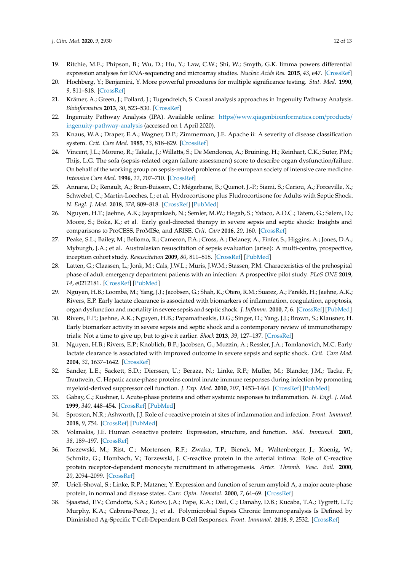- <span id="page-13-0"></span>19. Ritchie, M.E.; Phipson, B.; Wu, D.; Hu, Y.; Law, C.W.; Shi, W.; Smyth, G.K. limma powers differential expression analyses for RNA-sequencing and microarray studies. *Nucleic Acids Res.* **2015**, *43*, e47. [\[CrossRef\]](http://dx.doi.org/10.1093/nar/gkv007)
- <span id="page-13-1"></span>20. Hochberg, Y.; Benjamini, Y. More powerful procedures for multiple significance testing. *Stat. Med.* **1990**, *9*, 811–818. [\[CrossRef\]](http://dx.doi.org/10.1002/sim.4780090710)
- <span id="page-13-2"></span>21. Krämer, A.; Green, J.; Pollard, J.; Tugendreich, S. Causal analysis approaches in Ingenuity Pathway Analysis. *Bioinformatics* **2013**, *30*, 523–530. [\[CrossRef\]](http://dx.doi.org/10.1093/bioinformatics/btt703)
- <span id="page-13-3"></span>22. Ingenuity Pathway Analysis (IPA). Available online: https//[www.qiagenbioinformatics.com](https//www.qiagenbioinformatics.com/products/ingenuity-pathway-analysis)/products/ [ingenuity-pathway-analysis](https//www.qiagenbioinformatics.com/products/ingenuity-pathway-analysis) (accessed on 1 April 2020).
- <span id="page-13-4"></span>23. Knaus, W.A.; Draper, E.A.; Wagner, D.P.; Zimmerman, J.E. Apache ii: A severity of disease classification system. *Crit. Care Med.* **1985**, *13*, 818–829. [\[CrossRef\]](http://dx.doi.org/10.1097/00003246-198510000-00009)
- <span id="page-13-5"></span>24. Vincent, J.L.; Moreno, R.; Takala, J.; Willatts, S.; De Mendonca, A.; Bruining, H.; Reinhart, C.K.; Suter, P.M.; Thijs, L.G. The sofa (sepsis-related organ failure assessment) score to describe organ dysfunction/failure. On behalf of the working group on sepsis-related problems of the european society of intensive care medicine. *Intensive Care Med.* **1996**, *22*, 707–710. [\[CrossRef\]](http://dx.doi.org/10.1007/BF01709751)
- <span id="page-13-6"></span>25. Annane, D.; Renault, A.; Brun-Buisson, C.; Mégarbane, B.; Quenot, J.-P.; Siami, S.; Cariou, A.; Forceville, X.; Schwebel, C.; Martin-Loeches, I.; et al. Hydrocortisone plus Fludrocortisone for Adults with Septic Shock. *N. Engl. J. Med.* **2018**, *378*, 809–818. [\[CrossRef\]](http://dx.doi.org/10.1056/NEJMoa1705716) [\[PubMed\]](http://www.ncbi.nlm.nih.gov/pubmed/29490185)
- 26. Nguyen, H.T.; Jaehne, A.K.; Jayaprakash, N.; Semler, M.W.; Hegab, S.; Yataco, A.O.C.; Tatem, G.; Salem, D.; Moore, S.; Boka, K.; et al. Early goal-directed therapy in severe sepsis and septic shock: Insights and comparisons to ProCESS, ProMISe, and ARISE. *Crit. Care* **2016**, *20*, 160. [\[CrossRef\]](http://dx.doi.org/10.1186/s13054-016-1288-3)
- <span id="page-13-7"></span>27. Peake, S.L.; Bailey, M.; Bellomo, R.; Cameron, P.A.; Cross, A.; Delaney, A.; Finfer, S.; Higgins, A.; Jones, D.A.; Myburgh, J.A.; et al. Australasian resuscitation of sepsis evaluation (arise): A multi-centre, prospective, inception cohort study. *Resuscitation* **2009**, *80*, 811–818. [\[CrossRef\]](http://dx.doi.org/10.1016/j.resuscitation.2009.03.008) [\[PubMed\]](http://www.ncbi.nlm.nih.gov/pubmed/19467755)
- <span id="page-13-8"></span>28. Latten, G.; Claassen, L.; Jonk, M.; Cals, J.W.L.; Muris, J.W.M.; Stassen, P.M. Characteristics of the prehospital phase of adult emergency department patients with an infection: A prospective pilot study. *PLoS ONE* **2019**, *14*, e0212181. [\[CrossRef\]](http://dx.doi.org/10.1371/journal.pone.0212181) [\[PubMed\]](http://www.ncbi.nlm.nih.gov/pubmed/30730990)
- <span id="page-13-9"></span>29. Nguyen, H.B.; Loomba, M.; Yang, J.J.; Jacobsen, G.; Shah, K.; Otero, R.M.; Suarez, A.; Parekh, H.; Jaehne, A.K.; Rivers, E.P. Early lactate clearance is associated with biomarkers of inflammation, coagulation, apoptosis, organ dysfunction and mortality in severe sepsis and septic shock. *J. Inflamm.* **2010**, *7*, 6. [\[CrossRef\]](http://dx.doi.org/10.1186/1476-9255-7-6) [\[PubMed\]](http://www.ncbi.nlm.nih.gov/pubmed/20181046)
- <span id="page-13-10"></span>30. Rivers, E.P.; Jaehne, A.K.; Nguyen, H.B.; Papamatheakis, D.G.; Singer, D.; Yang, J.J.; Brown, S.; Klausner, H. Early biomarker activity in severe sepsis and septic shock and a contemporary review of immunotherapy trials: Not a time to give up, but to give it earlier. *Shock* **2013**, *39*, 127–137. [\[CrossRef\]](http://dx.doi.org/10.1097/SHK.0b013e31827dafa7)
- <span id="page-13-11"></span>31. Nguyen, H.B.; Rivers, E.P.; Knoblich, B.P.; Jacobsen, G.; Muzzin, A.; Ressler, J.A.; Tomlanovich, M.C. Early lactate clearance is associated with improved outcome in severe sepsis and septic shock. *Crit. Care Med.* **2004**, *32*, 1637–1642. [\[CrossRef\]](http://dx.doi.org/10.1097/01.CCM.0000132904.35713.A7)
- <span id="page-13-12"></span>32. Sander, L.E.; Sackett, S.D.; Dierssen, U.; Beraza, N.; Linke, R.P.; Muller, M.; Blander, J.M.; Tacke, F.; Trautwein, C. Hepatic acute-phase proteins control innate immune responses during infection by promoting myeloid-derived suppressor cell function. *J. Exp. Med.* **2010**, *207*, 1453–1464. [\[CrossRef\]](http://dx.doi.org/10.1084/jem.20091474) [\[PubMed\]](http://www.ncbi.nlm.nih.gov/pubmed/20530204)
- <span id="page-13-13"></span>33. Gabay, C.; Kushner, I. Acute-phase proteins and other systemic responses to inflammation. *N. Engl. J. Med.* **1999**, *340*, 448–454. [\[CrossRef\]](http://dx.doi.org/10.1056/NEJM199902113400607) [\[PubMed\]](http://www.ncbi.nlm.nih.gov/pubmed/9971870)
- <span id="page-13-14"></span>34. Sproston, N.R.; Ashworth, J.J. Role of c-reactive protein at sites of inflammation and infection. *Front. Immunol.* **2018**, *9*, 754. [\[CrossRef\]](http://dx.doi.org/10.3389/fimmu.2018.00754) [\[PubMed\]](http://www.ncbi.nlm.nih.gov/pubmed/29706967)
- <span id="page-13-15"></span>35. Volanakis, J.E. Human c-reactive protein: Expression, structure, and function. *Mol. Immunol.* **2001**, *38*, 189–197. [\[CrossRef\]](http://dx.doi.org/10.1016/S0161-5890(01)00042-6)
- <span id="page-13-16"></span>36. Torzewski, M.; Rist, C.; Mortensen, R.F.; Zwaka, T.P.; Bienek, M.; Waltenberger, J.; Koenig, W.; Schmitz, G.; Hombach, V.; Torzewski, J. C-reactive protein in the arterial intima: Role of C-reactive protein receptor-dependent monocyte recruitment in atherogenesis. *Arter. Thromb. Vasc. Boil.* **2000**, *20*, 2094–2099. [\[CrossRef\]](http://dx.doi.org/10.1161/01.ATV.20.9.2094)
- <span id="page-13-17"></span>37. Urieli-Shoval, S.; Linke, R.P.; Matzner, Y. Expression and function of serum amyloid A, a major acute-phase protein, in normal and disease states. *Curr. Opin. Hematol.* **2000**, *7*, 64–69. [\[CrossRef\]](http://dx.doi.org/10.1097/00062752-200001000-00012)
- <span id="page-13-18"></span>38. Sjaastad, F.V.; Condotta, S.A.; Kotov, J.A.; Pape, K.A.; Dail, C.; Danahy, D.B.; Kucaba, T.A.; Tygrett, L.T.; Murphy, K.A.; Cabrera-Perez, J.; et al. Polymicrobial Sepsis Chronic Immunoparalysis Is Defined by Diminished Ag-Specific T Cell-Dependent B Cell Responses. *Front. Immunol.* **2018**, *9*, 2532. [\[CrossRef\]](http://dx.doi.org/10.3389/fimmu.2018.02532)